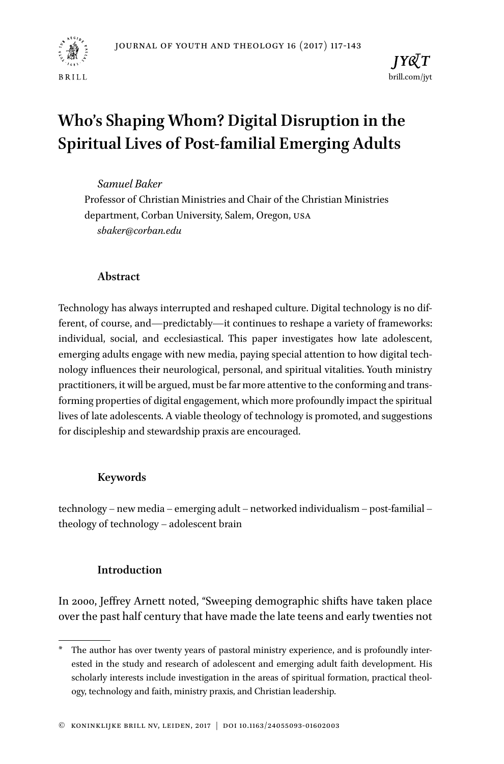

# **Who's Shaping Whom? Digital Disruption in the Spiritual Lives of Post-familial Emerging Adults**

*Samuel Baker*

Professor of Christian Ministries and Chair of the Christian Ministries department, Corban University, Salem, Oregon, usa *sbaker@corban.edu*

# **Abstract**

Technology has always interrupted and reshaped culture. Digital technology is no different, of course, and—predictably—it continues to reshape a variety of frameworks: individual, social, and ecclesiastical. This paper investigates how late adolescent, emerging adults engage with new media, paying special attention to how digital technology influences their neurological, personal, and spiritual vitalities. Youth ministry practitioners, it will be argued, must be far more attentive to the conforming and transforming properties of digital engagement, which more profoundly impact the spiritual lives of late adolescents. A viable theology of technology is promoted, and suggestions for discipleship and stewardship praxis are encouraged.

# **Keywords**

technology – new media – emerging adult – networked individualism – post-familial – theology of technology – adolescent brain

# **Introduction**

In 2000, Jeffrey Arnett noted, "Sweeping demographic shifts have taken place over the past half century that have made the late teens and early twenties not

The author has over twenty years of pastoral ministry experience, and is profoundly interested in the study and research of adolescent and emerging adult faith development. His scholarly interests include investigation in the areas of spiritual formation, practical theology, technology and faith, ministry praxis, and Christian leadership.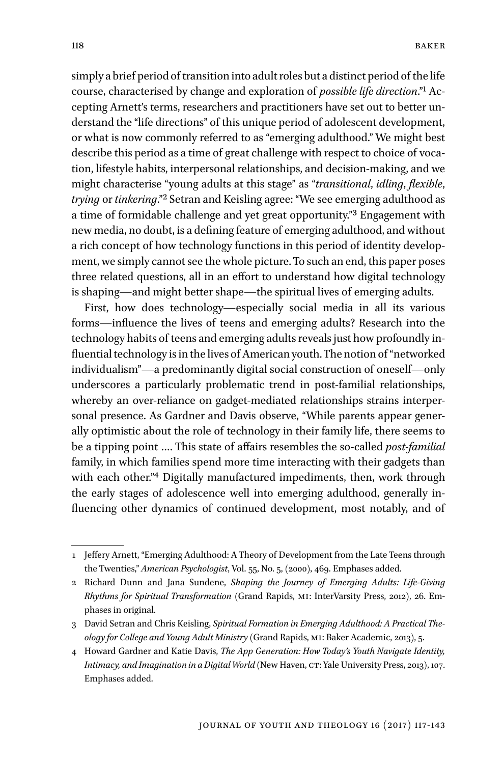simply a brief period of transition into adult roles but a distinct period of the life course, characterised by change and exploration of *possible life direction*.["1](#page-1-0) Accepting Arnett's terms, researchers and practitioners have set out to better understand the "life directions" of this unique period of adolescent development, or what is now commonly referred to as "emerging adulthood." We might best describe this period as a time of great challenge with respect to choice of vocation, lifestyle habits, interpersonal relationships, and decision-making, and we might characterise "young adults at this stage" as "*transitional*, *idling*, *flexible*, *trying* or *tinkering*.["2](#page-1-1) Setran and Keisling agree: "We see emerging adulthood as a time of formidable challenge and yet great opportunity."[3](#page-1-2) Engagement with new media, no doubt, is a defining feature of emerging adulthood, and without a rich concept of how technology functions in this period of identity development, we simply cannot see the whole picture. To such an end, this paper poses three related questions, all in an effort to understand how digital technology is shaping—and might better shape—the spiritual lives of emerging adults.

First, how does technology—especially social media in all its various forms—influence the lives of teens and emerging adults? Research into the technology habits of teens and emerging adults reveals just how profoundly influential technology is in the lives of American youth. The notion of "networked individualism"—a predominantly digital social construction of oneself—only underscores a particularly problematic trend in post-familial relationships, whereby an over-reliance on gadget-mediated relationships strains interpersonal presence. As Gardner and Davis observe, "While parents appear generally optimistic about the role of technology in their family life, there seems to be a tipping point …. This state of affairs resembles the so-called *post-familial* family, in which families spend more time interacting with their gadgets than with each other."<sup>4</sup> Digitally manufactured impediments, then, work through the early stages of adolescence well into emerging adulthood, generally influencing other dynamics of continued development, most notably, and of

<span id="page-1-0"></span><sup>1</sup> Jeffery Arnett, "Emerging Adulthood: A Theory of Development from the Late Teens through the Twenties," *American Psychologist*, Vol. 55, No. 5, (2000), 469. Emphases added.

<span id="page-1-1"></span><sup>2</sup> Richard Dunn and Jana Sundene, *Shaping the Journey of Emerging Adults: Life-Giving Rhythms for Spiritual Transformation* (Grand Rapids, mi: InterVarsity Press, 2012), 26. Emphases in original.

<span id="page-1-2"></span><sup>3</sup> David Setran and Chris Keisling, *Spiritual Formation in Emerging Adulthood: A Practical Theology for College and Young Adult Ministry* (Grand Rapids, mi: Baker Academic, 2013), 5.

<span id="page-1-3"></span><sup>4</sup> Howard Gardner and Katie Davis, *The App Generation: How Today's Youth Navigate Identity, Intimacy, and Imagination in a Digital World* (New Haven, CT: Yale University Press, 2013), 107. Emphases added.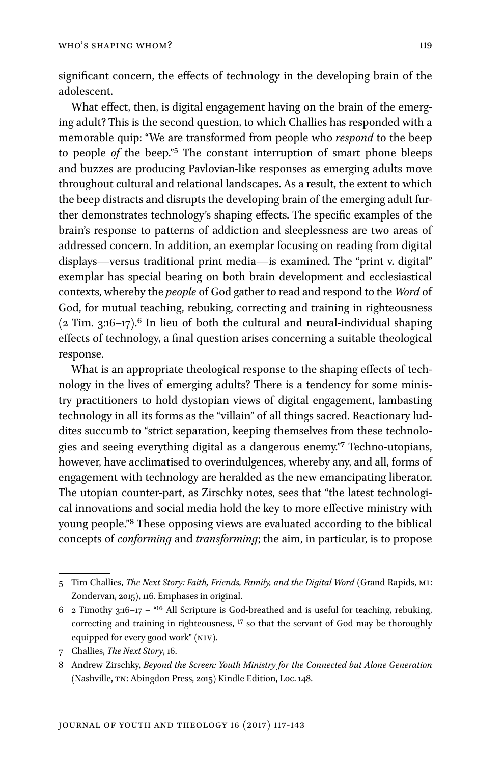significant concern, the effects of technology in the developing brain of the adolescent.

What effect, then, is digital engagement having on the brain of the emerging adult? This is the second question, to which Challies has responded with a memorable quip: "We are transformed from people who *respond* to the beep to people *of* the beep."[5](#page-2-0) The constant interruption of smart phone bleeps and buzzes are producing Pavlovian-like responses as emerging adults move throughout cultural and relational landscapes. As a result, the extent to which the beep distracts and disrupts the developing brain of the emerging adult further demonstrates technology's shaping effects. The specific examples of the brain's response to patterns of addiction and sleeplessness are two areas of addressed concern. In addition, an exemplar focusing on reading from digital displays—versus traditional print media—is examined. The "print v. digital" exemplar has special bearing on both brain development and ecclesiastical contexts, whereby the *people* of God gather to read and respond to the *Word* of God, for mutual teaching, rebuking, correcting and training in righteousness  $(2$  Tim.  $3:16-17)$ .<sup>6</sup> In lieu of both the cultural and neural-individual shaping effects of technology, a final question arises concerning a suitable theological response.

What is an appropriate theological response to the shaping effects of technology in the lives of emerging adults? There is a tendency for some ministry practitioners to hold dystopian views of digital engagement, lambasting technology in all its forms as the "villain" of all things sacred. Reactionary luddites succumb to "strict separation, keeping themselves from these technologies and seeing everything digital as a dangerous enemy.["7](#page-2-2) Techno-utopians, however, have acclimatised to overindulgences, whereby any, and all, forms of engagement with technology are heralded as the new emancipating liberator. The utopian counter-part, as Zirschky notes, sees that "the latest technological innovations and social media hold the key to more effective ministry with young people.["8](#page-2-3) These opposing views are evaluated according to the biblical concepts of *conforming* and *transforming*; the aim, in particular, is to propose

<span id="page-2-0"></span><sup>5</sup> Tim Challies, *The Next Story: Faith, Friends, Family, and the Digital Word* (Grand Rapids, mi: Zondervan, 2015), 116. Emphases in original.

<span id="page-2-1"></span><sup>6 2</sup> Timothy  $3:16-17$  – "16 All Scripture is God-breathed and is useful for teaching, rebuking, correcting and training in righteousness, 17 so that the servant of God may be thoroughly equipped for every good work" (niv).

<span id="page-2-2"></span><sup>7</sup> Challies, *The Next Story*, 16.

<span id="page-2-3"></span><sup>8</sup> Andrew Zirschky, *Beyond the Screen: Youth Ministry for the Connected but Alone Generation* (Nashville, tn: Abingdon Press, 2015) Kindle Edition, Loc. 148.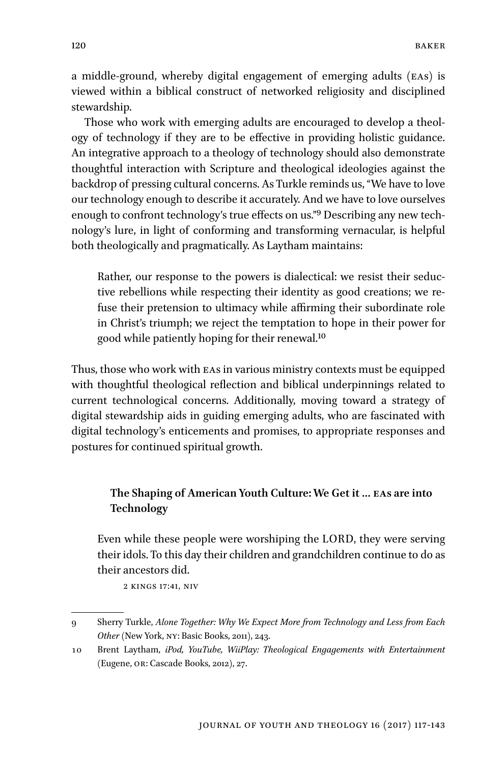a middle-ground, whereby digital engagement of emerging adults (eas) is viewed within a biblical construct of networked religiosity and disciplined stewardship.

Those who work with emerging adults are encouraged to develop a theology of technology if they are to be effective in providing holistic guidance. An integrative approach to a theology of technology should also demonstrate thoughtful interaction with Scripture and theological ideologies against the backdrop of pressing cultural concerns. As Turkle reminds us, "We have to love our technology enough to describe it accurately. And we have to love ourselves enough to confront technology's true effects on us.["9](#page-3-0) Describing any new technology's lure, in light of conforming and transforming vernacular, is helpful both theologically and pragmatically. As Laytham maintains:

Rather, our response to the powers is dialectical: we resist their seductive rebellions while respecting their identity as good creations; we refuse their pretension to ultimacy while affirming their subordinate role in Christ's triumph; we reject the temptation to hope in their power for good while patiently hoping for their renewal[.10](#page-3-1)

Thus, those who work with eas in various ministry contexts must be equipped with thoughtful theological reflection and biblical underpinnings related to current technological concerns. Additionally, moving toward a strategy of digital stewardship aids in guiding emerging adults, who are fascinated with digital technology's enticements and promises, to appropriate responses and postures for continued spiritual growth.

# **The Shaping of American Youth Culture: We Get it … eas are into Technology**

Even while these people were worshiping the LORD, they were serving their idols. To this day their children and grandchildren continue to do as their ancestors did.

2 Kings 17:41, niv

<span id="page-3-0"></span><sup>9</sup> Sherry Turkle, *Alone Together: Why We Expect More from Technology and Less from Each Other* (New York, ny: Basic Books, 2011), 243.

<span id="page-3-1"></span><sup>10</sup> Brent Laytham, *iPod, YouTube, WiiPlay: Theological Engagements with Entertainment* (Eugene, or: Cascade Books, 2012), 27.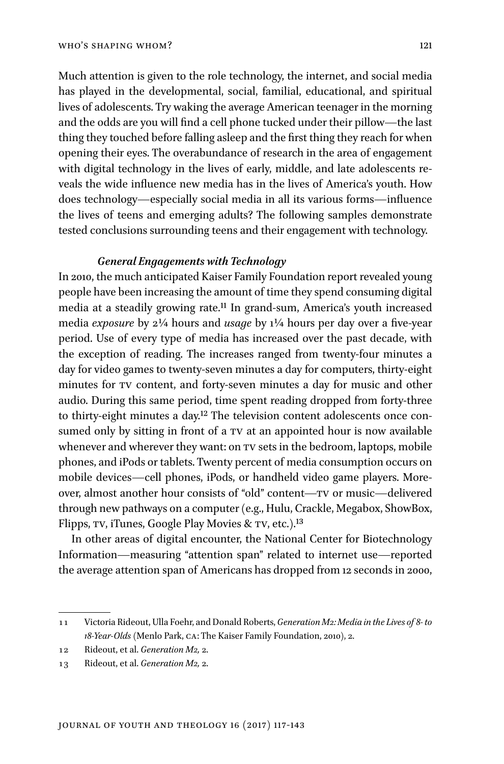Much attention is given to the role technology, the internet, and social media has played in the developmental, social, familial, educational, and spiritual lives of adolescents. Try waking the average American teenager in the morning and the odds are you will find a cell phone tucked under their pillow—the last thing they touched before falling asleep and the first thing they reach for when opening their eyes. The overabundance of research in the area of engagement with digital technology in the lives of early, middle, and late adolescents reveals the wide influence new media has in the lives of America's youth. How does technology—especially social media in all its various forms—influence the lives of teens and emerging adults? The following samples demonstrate tested conclusions surrounding teens and their engagement with technology.

## *General Engagements with Technology*

In 2010, the much anticipated Kaiser Family Foundation report revealed young people have been increasing the amount of time they spend consuming digital media at a steadily growing rate.<sup>11</sup> In grand-sum, America's youth increased media *exposure* by 2¼ hours and *usage* by 1¼ hours per day over a five-year period. Use of every type of media has increased over the past decade, with the exception of reading. The increases ranged from twenty-four minutes a day for video games to twenty-seven minutes a day for computers, thirty-eight minutes for tv content, and forty-seven minutes a day for music and other audio. During this same period, time spent reading dropped from forty-three to thirty-eight minutes a day.<sup>[12](#page-4-1)</sup> The television content adolescents once consumed only by sitting in front of a TV at an appointed hour is now available whenever and wherever they want: on TV sets in the bedroom, laptops, mobile phones, and iPods or tablets. Twenty percent of media consumption occurs on mobile devices—cell phones, iPods, or handheld video game players. Moreover, almost another hour consists of "old" content—tv or music—delivered through new pathways on a computer (e.g., Hulu, Crackle, Megabox, ShowBox, Flipps, TV, iTunes, Google Play Movies & TV, etc.).<sup>13</sup>

In other areas of digital encounter, the National Center for Biotechnology Information—measuring "attention span" related to internet use—reported the average attention span of Americans has dropped from 12 seconds in 2000,

<span id="page-4-0"></span><sup>11</sup> Victoria Rideout, Ulla Foehr, and Donald Roberts, *Generation M2: Media in the Lives of 8- to 18-Year-Olds* (Menlo Park, ca: The Kaiser Family Foundation, 2010), 2.

<span id="page-4-1"></span><sup>12</sup> Rideout, et al. *Generation M2,* 2.

<span id="page-4-2"></span><sup>13</sup> Rideout, et al. *Generation M2,* 2.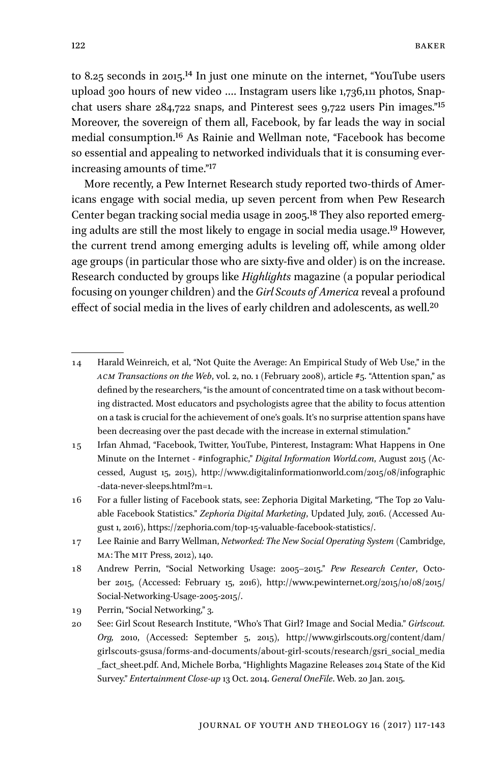to 8.25 seconds in 2015[.14](#page-5-0) In just one minute on the internet, "YouTube users upload 300 hours of new video …. Instagram users like 1,736,111 photos, Snapchat users share 284,722 snaps, and Pinterest sees 9,722 users Pin images."[15](#page-5-1) Moreover, the sovereign of them all, Facebook, by far leads the way in social medial consumption.[16](#page-5-2) As Rainie and Wellman note, "Facebook has become so essential and appealing to networked individuals that it is consuming everincreasing amounts of time.["17](#page-5-3)

More recently, a Pew Internet Research study reported two-thirds of Americans engage with social media, up seven percent from when Pew Research Center began tracking social media usage in 2005[.18](#page-5-4) They also reported emerging adults are still the most likely to engage in social media usage[.19](#page-5-5) However, the current trend among emerging adults is leveling off, while among older age groups (in particular those who are sixty-five and older) is on the increase. Research conducted by groups like *Highlights* magazine (a popular periodical focusing on younger children) and the *Girl Scouts of America* reveal a profound effect of social media in the lives of early children and adolescents, as well.[20](#page-5-6)

<span id="page-5-0"></span><sup>14</sup> Harald Weinreich, et al, "Not Quite the Average: An Empirical Study of Web Use," in the *acm Transactions on the Web*, vol. 2, no. 1 (February 2008), article #5. "Attention span," as defined by the researchers, "is the amount of concentrated time on a task without becoming distracted. Most educators and psychologists agree that the ability to focus attention on a task is crucial for the achievement of one's goals. It's no surprise attention spans have been decreasing over the past decade with the increase in external stimulation."

<span id="page-5-1"></span><sup>15</sup> Irfan Ahmad, "Facebook, Twitter, YouTube, Pinterest, Instagram: What Happens in One Minute on the Internet - #infographic," *Digital Information World.com*, August 2015 (Accessed, August 15, 2015), [http://www.digitalinformationworld.com/2015/08/infographic](http://www.digitalinformationworld.com/2015/08/infographic-data-never-sleeps.html?m=1) [-data-never-sleeps.html?m=1.](http://www.digitalinformationworld.com/2015/08/infographic-data-never-sleeps.html?m=1)

<span id="page-5-2"></span><sup>16</sup> For a fuller listing of Facebook stats, see: Zephoria Digital Marketing, "The Top 20 Valuable Facebook Statistics." *Zephoria Digital Marketing*, Updated July, 2016. (Accessed August 1, 2016), [https://zephoria.com/top-15-valuable-facebook-statistics/.](https://zephoria.com/top-15-valuable-facebook-statistics/)

<span id="page-5-3"></span><sup>17</sup> Lee Rainie and Barry Wellman, *Networked: The New Social Operating System* (Cambridge, ma: The mit Press, 2012), 140.

<span id="page-5-4"></span><sup>18</sup> Andrew Perrin, "Social Networking Usage: 2005–2015." *Pew Research Center*, October 2015, (Accessed: February 15, 2016), [http://www.pewinternet.org/2015/10/08/2015/](http://www.pewinternet.org/2015/10/08/2015/Social-Networking-Usage-2005-2015/) [Social-Networking-Usage-2005-2015/](http://www.pewinternet.org/2015/10/08/2015/Social-Networking-Usage-2005-2015/).

<span id="page-5-5"></span><sup>19</sup> Perrin, "Social Networking," 3.

<span id="page-5-6"></span><sup>20</sup> See: Girl Scout Research Institute, "Who's That Girl? Image and Social Media." *Girlscout. Org,* 2010, (Accessed: September 5, 2015), [http://www.girlscouts.org/content/dam/](http://www.girlscouts.org/content/dam/girlscouts-gsusa/forms-and-documents/about-girl-scouts/research/gsri_social_media_fact_sheet.pdf) [girlscouts-gsusa/forms-and-documents/about-girl-scouts/research/gsri\\_social\\_media](http://www.girlscouts.org/content/dam/girlscouts-gsusa/forms-and-documents/about-girl-scouts/research/gsri_social_media_fact_sheet.pdf) [\\_fact\\_sheet.pdf.](http://www.girlscouts.org/content/dam/girlscouts-gsusa/forms-and-documents/about-girl-scouts/research/gsri_social_media_fact_sheet.pdf) And, Michele Borba, "Highlights Magazine Releases 2014 State of the Kid Survey." *Entertainment Close-up* 13 Oct. 2014. *General OneFile*. Web. 20 Jan. 2015.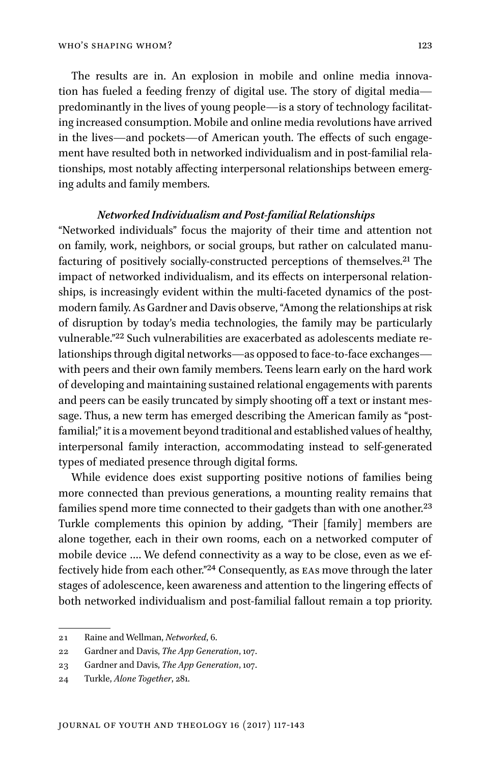The results are in. An explosion in mobile and online media innovation has fueled a feeding frenzy of digital use. The story of digital media predominantly in the lives of young people—is a story of technology facilitating increased consumption. Mobile and online media revolutions have arrived in the lives—and pockets—of American youth. The effects of such engagement have resulted both in networked individualism and in post-familial relationships, most notably affecting interpersonal relationships between emerging adults and family members.

#### *Networked Individualism and Post-familial Relationships*

"Networked individuals" focus the majority of their time and attention not on family, work, neighbors, or social groups, but rather on calculated manufacturing of positively socially-constructed perceptions of themselves.<sup>21</sup> The impact of networked individualism, and its effects on interpersonal relationships, is increasingly evident within the multi-faceted dynamics of the postmodern family. As Gardner and Davis observe, "Among the relationships at risk of disruption by today's media technologies, the family may be particularly vulnerable."[22](#page-6-1) Such vulnerabilities are exacerbated as adolescents mediate relationships through digital networks—as opposed to face-to-face exchanges with peers and their own family members. Teens learn early on the hard work of developing and maintaining sustained relational engagements with parents and peers can be easily truncated by simply shooting off a text or instant message. Thus, a new term has emerged describing the American family as "postfamilial;" it is a movement beyond traditional and established values of healthy, interpersonal family interaction, accommodating instead to self-generated types of mediated presence through digital forms.

While evidence does exist supporting positive notions of families being more connected than previous generations, a mounting reality remains that families spend more time connected to their gadgets than with one another.<sup>23</sup> Turkle complements this opinion by adding, "Their [family] members are alone together, each in their own rooms, each on a networked computer of mobile device …. We defend connectivity as a way to be close, even as we effectively hide from each other."[24](#page-6-3) Consequently, as eas move through the later stages of adolescence, keen awareness and attention to the lingering effects of both networked individualism and post-familial fallout remain a top priority.

<span id="page-6-0"></span><sup>21</sup> Raine and Wellman, *Networked*, 6.

<span id="page-6-1"></span><sup>22</sup> Gardner and Davis, *The App Generation*, 107.

<span id="page-6-2"></span><sup>23</sup> Gardner and Davis, *The App Generation*, 107.

<span id="page-6-3"></span><sup>24</sup> Turkle, *Alone Together*, 281.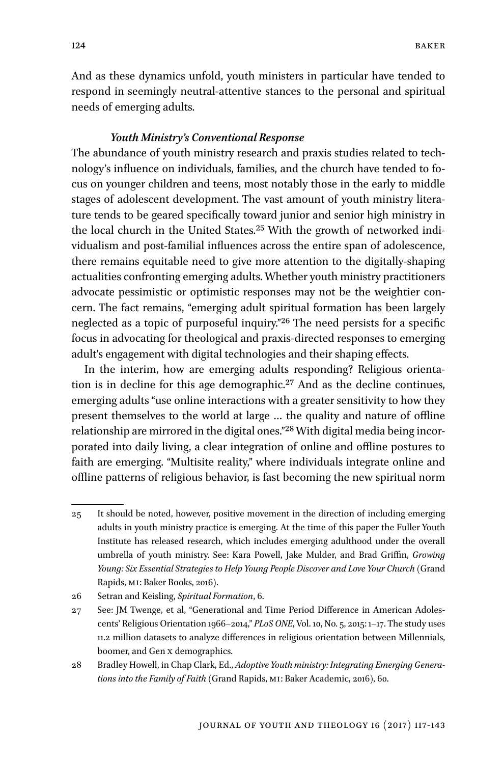And as these dynamics unfold, youth ministers in particular have tended to respond in seemingly neutral-attentive stances to the personal and spiritual needs of emerging adults.

#### *Youth Ministry's Conventional Response*

The abundance of youth ministry research and praxis studies related to technology's influence on individuals, families, and the church have tended to focus on younger children and teens, most notably those in the early to middle stages of adolescent development. The vast amount of youth ministry literature tends to be geared specifically toward junior and senior high ministry in the local church in the United States.<sup>25</sup> With the growth of networked individualism and post-familial influences across the entire span of adolescence, there remains equitable need to give more attention to the digitally-shaping actualities confronting emerging adults. Whether youth ministry practitioners advocate pessimistic or optimistic responses may not be the weightier concern. The fact remains, "emerging adult spiritual formation has been largely neglected as a topic of purposeful inquiry.["26](#page-7-1) The need persists for a specific focus in advocating for theological and praxis-directed responses to emerging adult's engagement with digital technologies and their shaping effects.

In the interim, how are emerging adults responding? Religious orientation is in decline for this age demographic.[27](#page-7-2) And as the decline continues, emerging adults "use online interactions with a greater sensitivity to how they present themselves to the world at large … the quality and nature of offline relationship are mirrored in the digital ones."[28](#page-7-3) With digital media being incorporated into daily living, a clear integration of online and offline postures to faith are emerging. "Multisite reality," where individuals integrate online and offline patterns of religious behavior, is fast becoming the new spiritual norm

<span id="page-7-0"></span><sup>25</sup> It should be noted, however, positive movement in the direction of including emerging adults in youth ministry practice is emerging. At the time of this paper the Fuller Youth Institute has released research, which includes emerging adulthood under the overall umbrella of youth ministry. See: Kara Powell, Jake Mulder, and Brad Griffin, *Growing Young: Six Essential Strategies to Help Young People Discover and Love Your Church* (Grand Rapids, mi: Baker Books, 2016).

<span id="page-7-1"></span><sup>26</sup> Setran and Keisling, *Spiritual Formation*, 6.

<span id="page-7-2"></span><sup>27</sup> See: JM Twenge, et al, "Generational and Time Period Difference in American Adolescents' Religious Orientation 1966–2014," *PLoS ONE*, Vol. 10, No. 5, 2015: 1–17. The study uses 11.2 million datasets to analyze differences in religious orientation between Millennials, boomer, and Gen x demographics.

<span id="page-7-3"></span><sup>28</sup> Bradley Howell, in Chap Clark, Ed., *Adoptive Youth ministry: Integrating Emerging Generations into the Family of Faith* (Grand Rapids, mi: Baker Academic, 2016), 60.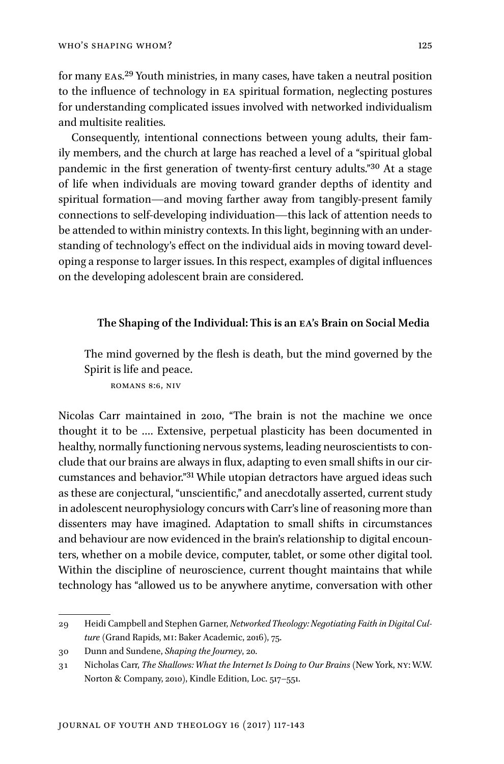for many EAs.<sup>[29](#page-8-0)</sup> Youth ministries, in many cases, have taken a neutral position to the influence of technology in ea spiritual formation, neglecting postures for understanding complicated issues involved with networked individualism and multisite realities.

Consequently, intentional connections between young adults, their family members, and the church at large has reached a level of a "spiritual global pandemic in the first generation of twenty-first century adults.["30](#page-8-1) At a stage of life when individuals are moving toward grander depths of identity and spiritual formation—and moving farther away from tangibly-present family connections to self-developing individuation—this lack of attention needs to be attended to within ministry contexts. In this light, beginning with an understanding of technology's effect on the individual aids in moving toward developing a response to larger issues. In this respect, examples of digital influences on the developing adolescent brain are considered.

#### **The Shaping of the Individual: This is an ea's Brain on Social Media**

The mind governed by the flesh is death, but the mind governed by the Spirit is life and peace.

Romans 8:6, niv

Nicolas Carr maintained in 2010, "The brain is not the machine we once thought it to be …. Extensive, perpetual plasticity has been documented in healthy, normally functioning nervous systems, leading neuroscientists to conclude that our brains are always in flux, adapting to even small shifts in our cir-cumstances and behavior."<sup>[31](#page-8-2)</sup> While utopian detractors have argued ideas such as these are conjectural, "unscientific," and anecdotally asserted, current study in adolescent neurophysiology concurs with Carr's line of reasoning more than dissenters may have imagined. Adaptation to small shifts in circumstances and behaviour are now evidenced in the brain's relationship to digital encounters, whether on a mobile device, computer, tablet, or some other digital tool. Within the discipline of neuroscience, current thought maintains that while technology has "allowed us to be anywhere anytime, conversation with other

<span id="page-8-0"></span><sup>29</sup> Heidi Campbell and Stephen Garner, *Networked Theology: Negotiating Faith in Digital Culture* (Grand Rapids, mi: Baker Academic, 2016), 75.

<span id="page-8-1"></span><sup>30</sup> Dunn and Sundene, *Shaping the Journey*, 20.

<span id="page-8-2"></span><sup>31</sup> Nicholas Carr, *The Shallows: What the Internet Is Doing to Our Brains* (New York, ny: W.W. Norton & Company, 2010), Kindle Edition, Loc. 517–551.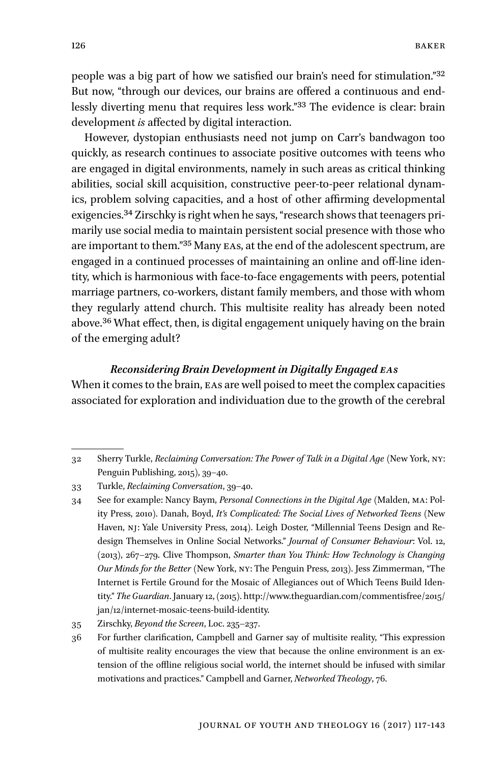people was a big part of how we satisfied our brain's need for stimulation."[32](#page-9-0) But now, "through our devices, our brains are offered a continuous and endlessly diverting menu that requires less work.["33](#page-9-1) The evidence is clear: brain development *is* affected by digital interaction.

However, dystopian enthusiasts need not jump on Carr's bandwagon too quickly, as research continues to associate positive outcomes with teens who are engaged in digital environments, namely in such areas as critical thinking abilities, social skill acquisition, constructive peer-to-peer relational dynamics, problem solving capacities, and a host of other affirming developmental exigencies[.34](#page-9-2) Zirschky is right when he says, "research shows that teenagers primarily use social media to maintain persistent social presence with those who are important to them."[35](#page-9-3) Many eas, at the end of the adolescent spectrum, are engaged in a continued processes of maintaining an online and off-line identity, which is harmonious with face-to-face engagements with peers, potential marriage partners, co-workers, distant family members, and those with whom they regularly attend church. This multisite reality has already been noted above[.36](#page-9-4) What effect, then, is digital engagement uniquely having on the brain of the emerging adult?

#### *Reconsidering Brain Development in Digitally Engaged eas*

When it comes to the brain, EAs are well poised to meet the complex capacities associated for exploration and individuation due to the growth of the cerebral

<span id="page-9-0"></span><sup>32</sup> Sherry Turkle, *Reclaiming Conversation: The Power of Talk in a Digital Age* (New York, ny: Penguin Publishing, 2015), 39–40.

<span id="page-9-1"></span><sup>33</sup> Turkle, *Reclaiming Conversation*, 39–40.

<span id="page-9-2"></span><sup>34</sup> See for example: Nancy Baym, *Personal Connections in the Digital Age* (Malden, ma: Polity Press, 2010). Danah, Boyd, *It's Complicated: The Social Lives of Networked Teens* (New Haven, nj: Yale University Press, 2014). Leigh Doster, "Millennial Teens Design and Redesign Themselves in Online Social Networks." *Journal of Consumer Behaviour*: Vol. 12, (2013), 267–279. Clive Thompson, *Smarter than You Think: How Technology is Changing Our Minds for the Better* (New York, ny: The Penguin Press, 2013). Jess Zimmerman, "The Internet is Fertile Ground for the Mosaic of Allegiances out of Which Teens Build Identity." *The Guardian*. January 12, (2015). [http://www.theguardian.com/commentisfree/2015/](http://www.theguardian.com/commentisfree/2015/jan/12/internet-mosaic-teens-build-identity) [jan/12/internet-mosaic-teens-build-identity](http://www.theguardian.com/commentisfree/2015/jan/12/internet-mosaic-teens-build-identity).

<span id="page-9-3"></span><sup>35</sup> Zirschky, *Beyond the Screen*, Loc. 235–237.

<span id="page-9-4"></span><sup>36</sup> For further clarification, Campbell and Garner say of multisite reality, "This expression of multisite reality encourages the view that because the online environment is an extension of the offline religious social world, the internet should be infused with similar motivations and practices." Campbell and Garner, *Networked Theology*, 76.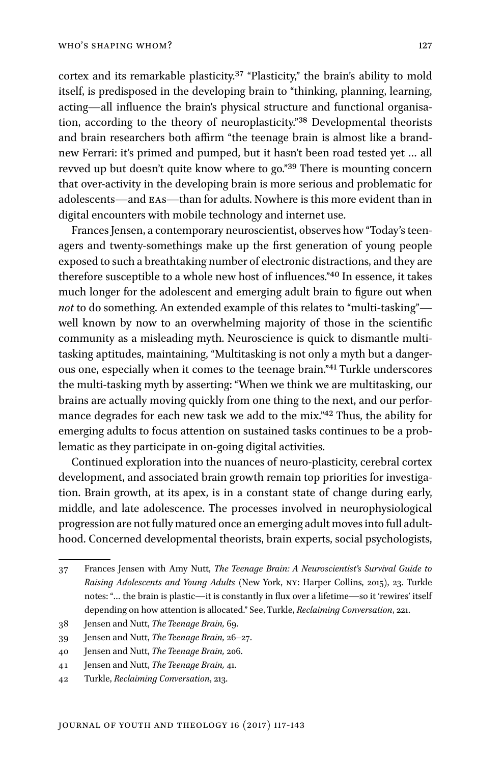cortex and its remarkable plasticity.<sup>37</sup> "Plasticity," the brain's ability to mold itself, is predisposed in the developing brain to "thinking, planning, learning, acting—all influence the brain's physical structure and functional organisation, according to the theory of neuroplasticity.["38](#page-10-1) Developmental theorists and brain researchers both affirm "the teenage brain is almost like a brandnew Ferrari: it's primed and pumped, but it hasn't been road tested yet … all revved up but doesn't quite know where to go."<sup>39</sup> There is mounting concern that over-activity in the developing brain is more serious and problematic for adolescents—and eas—than for adults. Nowhere is this more evident than in digital encounters with mobile technology and internet use.

Frances Jensen, a contemporary neuroscientist, observes how "Today's teenagers and twenty-somethings make up the first generation of young people exposed to such a breathtaking number of electronic distractions, and they are therefore susceptible to a whole new host of influences."[40](#page-10-3) In essence, it takes much longer for the adolescent and emerging adult brain to figure out when *not* to do something. An extended example of this relates to "multi-tasking" well known by now to an overwhelming majority of those in the scientific community as a misleading myth. Neuroscience is quick to dismantle multitasking aptitudes, maintaining, "Multitasking is not only a myth but a dangerous one, especially when it comes to the teenage brain.["41](#page-10-4) Turkle underscores the multi-tasking myth by asserting: "When we think we are multitasking, our brains are actually moving quickly from one thing to the next, and our performance degrades for each new task we add to the mix."<sup>42</sup> Thus, the ability for emerging adults to focus attention on sustained tasks continues to be a problematic as they participate in on-going digital activities.

Continued exploration into the nuances of neuro-plasticity, cerebral cortex development, and associated brain growth remain top priorities for investigation. Brain growth, at its apex, is in a constant state of change during early, middle, and late adolescence. The processes involved in neurophysiological progression are not fully matured once an emerging adult moves into full adulthood. Concerned developmental theorists, brain experts, social psychologists,

<span id="page-10-1"></span>38 Jensen and Nutt, *The Teenage Brain,* 69.

<span id="page-10-3"></span>40 Jensen and Nutt, *The Teenage Brain,* 206.

<span id="page-10-0"></span><sup>37</sup> Frances Jensen with Amy Nutt, *The Teenage Brain: A Neuroscientist's Survival Guide to Raising Adolescents and Young Adults* (New York, ny: Harper Collins, 2015), 23. Turkle notes: "… the brain is plastic—it is constantly in flux over a lifetime—so it 'rewires' itself depending on how attention is allocated." See, Turkle, *Reclaiming Conversation*, 221.

<span id="page-10-2"></span><sup>39</sup> Jensen and Nutt, *The Teenage Brain,* 26–27.

<span id="page-10-4"></span><sup>41</sup> Jensen and Nutt, *The Teenage Brain,* 41.

<span id="page-10-5"></span><sup>42</sup> Turkle, *Reclaiming Conversation*, 213.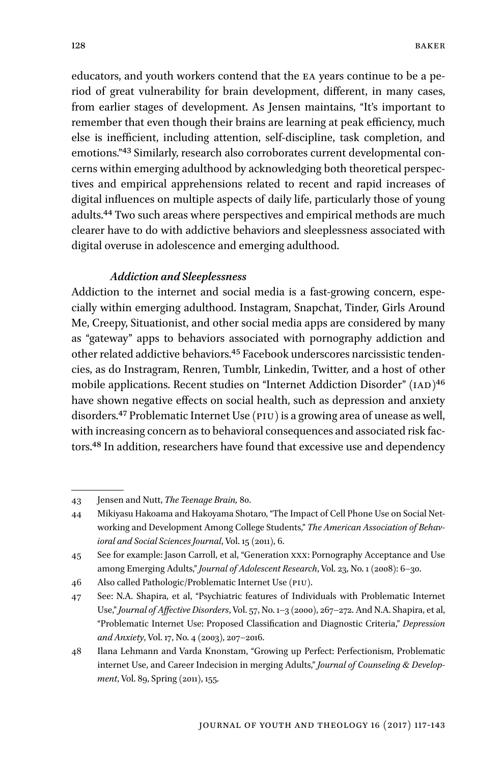educators, and youth workers contend that the ea years continue to be a period of great vulnerability for brain development, different, in many cases, from earlier stages of development. As Jensen maintains, "It's important to remember that even though their brains are learning at peak efficiency, much else is inefficient, including attention, self-discipline, task completion, and emotions."[43](#page-11-0) Similarly, research also corroborates current developmental concerns within emerging adulthood by acknowledging both theoretical perspectives and empirical apprehensions related to recent and rapid increases of digital influences on multiple aspects of daily life, particularly those of young adults[.44](#page-11-1) Two such areas where perspectives and empirical methods are much clearer have to do with addictive behaviors and sleeplessness associated with digital overuse in adolescence and emerging adulthood.

## *Addiction and Sleeplessness*

Addiction to the internet and social media is a fast-growing concern, especially within emerging adulthood. Instagram, Snapchat, Tinder, Girls Around Me, Creepy, Situationist, and other social media apps are considered by many as "gateway" apps to behaviors associated with pornography addiction and other related addictive behaviors.[45](#page-11-2) Facebook underscores narcissistic tendencies, as do Instragram, Renren, Tumblr, Linkedin, Twitter, and a host of other mobile applications. Recent studies on "Internet Addiction Disorder"  $(1AD)^{46}$ have shown negative effects on social health, such as depression and anxiety disorders[.47](#page-11-4) Problematic Internet Use (piu) is a growing area of unease as well, with increasing concern as to behavioral consequences and associated risk factors[.48](#page-11-5) In addition, researchers have found that excessive use and dependency

<span id="page-11-0"></span><sup>43</sup> Jensen and Nutt, *The Teenage Brain,* 80.

<span id="page-11-1"></span><sup>44</sup> Mikiyasu Hakoama and Hakoyama Shotaro, "The Impact of Cell Phone Use on Social Networking and Development Among College Students," *The American Association of Behavioral and Social Sciences Journal*, Vol. 15 (2011), 6.

<span id="page-11-2"></span><sup>45</sup> See for example: Jason Carroll, et al, "Generation xxx: Pornography Acceptance and Use among Emerging Adults," *Journal of Adolescent Research*, Vol. 23, No. 1 (2008): 6–30.

<span id="page-11-3"></span><sup>46</sup> Also called Pathologic/Problematic Internet Use (piu).

<span id="page-11-4"></span><sup>47</sup> See: N.A. Shapira, et al, "Psychiatric features of Individuals with Problematic Internet Use," *Journal of Affective Disorders*, Vol. 57, No. 1–3 (2000), 267–272. And N.A. Shapira, et al, "Problematic Internet Use: Proposed Classification and Diagnostic Criteria," *Depression and Anxiety*, Vol. 17, No. 4 (2003), 207–2016.

<span id="page-11-5"></span><sup>48</sup> Ilana Lehmann and Varda Knonstam, "Growing up Perfect: Perfectionism, Problematic internet Use, and Career Indecision in merging Adults," *Journal of Counseling & Development*, Vol. 89, Spring (2011), 155.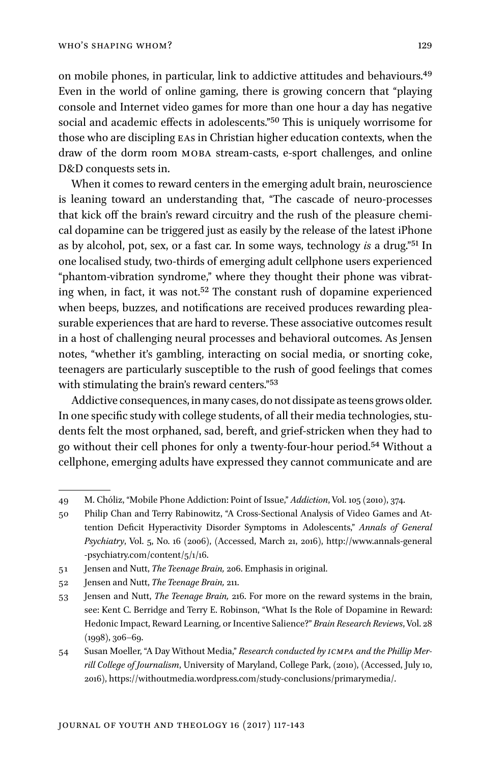on mobile phones, in particular, link to addictive attitudes and behaviours[.49](#page-12-0) Even in the world of online gaming, there is growing concern that "playing console and Internet video games for more than one hour a day has negative social and academic effects in adolescents."[50](#page-12-1) This is uniquely worrisome for those who are discipling eas in Christian higher education contexts, when the draw of the dorm room moba stream-casts, e-sport challenges, and online D&D conquests sets in.

When it comes to reward centers in the emerging adult brain, neuroscience is leaning toward an understanding that, "The cascade of neuro-processes that kick off the brain's reward circuitry and the rush of the pleasure chemical dopamine can be triggered just as easily by the release of the latest iPhone as by alcohol, pot, sex, or a fast car. In some ways, technology *is* a drug."[51](#page-12-2) In one localised study, two-thirds of emerging adult cellphone users experienced "phantom-vibration syndrome," where they thought their phone was vibrat-ing when, in fact, it was not.<sup>[52](#page-12-3)</sup> The constant rush of dopamine experienced when beeps, buzzes, and notifications are received produces rewarding pleasurable experiences that are hard to reverse. These associative outcomes result in a host of challenging neural processes and behavioral outcomes. As Jensen notes, "whether it's gambling, interacting on social media, or snorting coke, teenagers are particularly susceptible to the rush of good feelings that comes with stimulating the brain's reward centers.["53](#page-12-4)

Addictive consequences, in many cases, do not dissipate as teens grows older. In one specific study with college students, of all their media technologies, students felt the most orphaned, sad, bereft, and grief-stricken when they had to go without their cell phones for only a twenty-four-hour period.[54](#page-12-5) Without a cellphone, emerging adults have expressed they cannot communicate and are

<span id="page-12-0"></span><sup>49</sup> M. Chóliz, "Mobile Phone Addiction: Point of Issue," *Addiction*, Vol. 105 (2010), 374.

<span id="page-12-1"></span><sup>50</sup> Philip Chan and Terry Rabinowitz, "A Cross-Sectional Analysis of Video Games and Attention Deficit Hyperactivity Disorder Symptoms in Adolescents," *Annals of General Psychiatry*, Vol. 5, No. 16 (2006), (Accessed, March 21, 2016), [http://www.annals-general](http://www.annals-general-psychiatry.com/content/5/1/16) [-psychiatry.com/content/5/1/16](http://www.annals-general-psychiatry.com/content/5/1/16).

<span id="page-12-2"></span><sup>51</sup> Jensen and Nutt, *The Teenage Brain,* 206. Emphasis in original.

<span id="page-12-3"></span><sup>52</sup> Jensen and Nutt, *The Teenage Brain,* 211.

<span id="page-12-4"></span><sup>53</sup> Jensen and Nutt, *The Teenage Brain,* 216. For more on the reward systems in the brain, see: Kent C. Berridge and Terry E. Robinson, "What Is the Role of Dopamine in Reward: Hedonic Impact, Reward Learning, or Incentive Salience?" *Brain Research Reviews*, Vol. 28 (1998), 306–69.

<span id="page-12-5"></span><sup>54</sup> Susan Moeller, "A Day Without Media," *Research conducted by icmpa and the Phillip Merrill College of Journalism*, University of Maryland, College Park, (2010), (Accessed, July 10, 2016), [https://withoutmedia.wordpress.com/study-conclusions/primarymedia/.](https://withoutmedia.wordpress.com/study-conclusions/primarymedia/)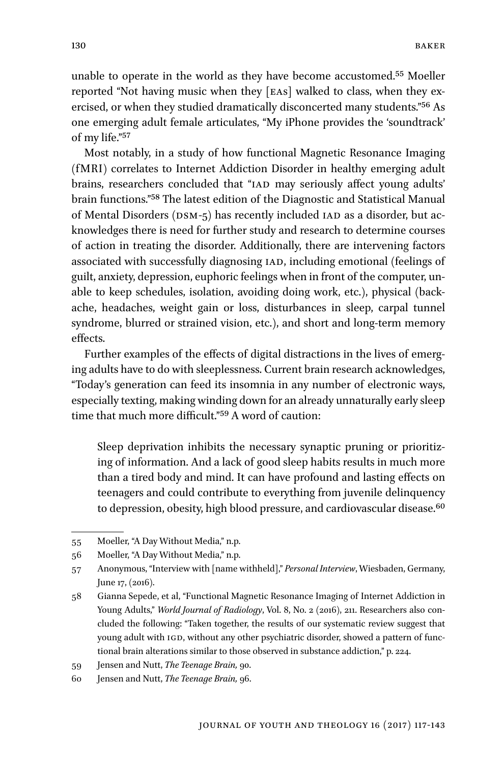unable to operate in the world as they have become accustomed.[55](#page-13-0) Moeller reported "Not having music when they [eas] walked to class, when they exercised, or when they studied dramatically disconcerted many students."[56](#page-13-1) As one emerging adult female articulates, "My iPhone provides the 'soundtrack' of my life."[57](#page-13-2)

Most notably, in a study of how functional Magnetic Resonance Imaging (fMRI) correlates to Internet Addiction Disorder in healthy emerging adult brains, researchers concluded that "IAD may seriously affect young adults' brain functions."[58](#page-13-3) The latest edition of the Diagnostic and Statistical Manual of Mental Disorders (DSM-5) has recently included IAD as a disorder, but acknowledges there is need for further study and research to determine courses of action in treating the disorder. Additionally, there are intervening factors associated with successfully diagnosing IAD, including emotional (feelings of guilt, anxiety, depression, euphoric feelings when in front of the computer, unable to keep schedules, isolation, avoiding doing work, etc.), physical (backache, headaches, weight gain or loss, disturbances in sleep, carpal tunnel syndrome, blurred or strained vision, etc.), and short and long-term memory effects.

Further examples of the effects of digital distractions in the lives of emerging adults have to do with sleeplessness. Current brain research acknowledges, "Today's generation can feed its insomnia in any number of electronic ways, especially texting, making winding down for an already unnaturally early sleep time that much more difficult."<sup>59</sup> A word of caution:

Sleep deprivation inhibits the necessary synaptic pruning or prioritizing of information. And a lack of good sleep habits results in much more than a tired body and mind. It can have profound and lasting effects on teenagers and could contribute to everything from juvenile delinquency to depression, obesity, high blood pressure, and cardiovascular disease.<sup>60</sup>

<span id="page-13-0"></span><sup>55</sup> Moeller, "A Day Without Media," n.p.

<span id="page-13-1"></span><sup>56</sup> Moeller, "A Day Without Media," n.p.

<span id="page-13-2"></span><sup>57</sup> Anonymous, "Interview with [name withheld]," *Personal Interview*, Wiesbaden, Germany, June 17, (2016).

<span id="page-13-3"></span><sup>58</sup> Gianna Sepede, et al, "Functional Magnetic Resonance Imaging of Internet Addiction in Young Adults," *World Journal of Radiology*, Vol. 8, No. 2 (2016), 211. Researchers also concluded the following: "Taken together, the results of our systematic review suggest that young adult with IGD, without any other psychiatric disorder, showed a pattern of functional brain alterations similar to those observed in substance addiction," p. 224.

<span id="page-13-4"></span><sup>59</sup> Jensen and Nutt, *The Teenage Brain,* 90.

<span id="page-13-5"></span><sup>60</sup> Jensen and Nutt, *The Teenage Brain,* 96.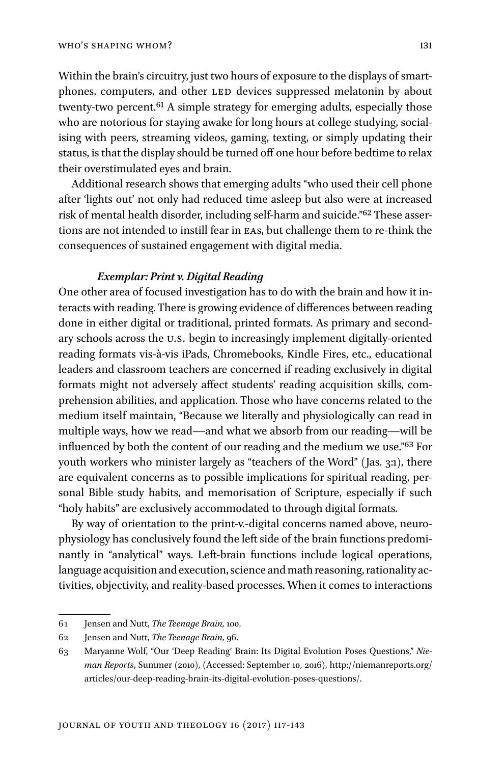Within the brain's circuitry, just two hours of exposure to the displays of smartphones, computers, and other LED devices suppressed melatonin by about twenty-two percent.<sup>61</sup> A simple strategy for emerging adults, especially those who are notorious for staying awake for long hours at college studying, socialising with peers, streaming videos, gaming, texting, or simply updating their status, is that the display should be turned off one hour before bedtime to relax their overstimulated eyes and brain.

Additional research shows that emerging adults "who used their cell phone after 'lights out' not only had reduced time asleep but also were at increased risk of mental health disorder, including self-harm and suicide.["62](#page-14-1) These assertions are not intended to instill fear in eas, but challenge them to re-think the consequences of sustained engagement with digital media.

#### *Exemplar: Print v. Digital Reading*

One other area of focused investigation has to do with the brain and how it interacts with reading. There is growing evidence of differences between reading done in either digital or traditional, printed formats. As primary and secondary schools across the u.s. begin to increasingly implement digitally-oriented reading formats vis-à-vis iPads, Chromebooks, Kindle Fires, etc., educational leaders and classroom teachers are concerned if reading exclusively in digital formats might not adversely affect students' reading acquisition skills, comprehension abilities, and application. Those who have concerns related to the medium itself maintain, "Because we literally and physiologically can read in multiple ways, how we read—and what we absorb from our reading—will be influenced by both the content of our reading and the medium we use."<sup>63</sup> For youth workers who minister largely as "teachers of the Word" (Jas. 3:1), there are equivalent concerns as to possible implications for spiritual reading, personal Bible study habits, and memorisation of Scripture, especially if such "holy habits" are exclusively accommodated to through digital formats.

By way of orientation to the print-v.-digital concerns named above, neurophysiology has conclusively found the left side of the brain functions predominantly in "analytical" ways. Left-brain functions include logical operations, language acquisition and execution, science and math reasoning, rationality activities, objectivity, and reality-based processes. When it comes to interactions

<span id="page-14-0"></span><sup>61</sup> Jensen and Nutt, *The Teenage Brain,* 100.

<span id="page-14-1"></span><sup>62</sup> Jensen and Nutt, *The Teenage Brain,* 96.

<span id="page-14-2"></span><sup>63</sup> Maryanne Wolf, "Our 'Deep Reading' Brain: Its Digital Evolution Poses Questions," *Nieman Reports*, Summer (2010), (Accessed: September 10, 2016), [http://niemanreports.org/](http://niemanreports.org/articles/our-deep-reading-brain-its-digital-evolution-poses-questions/) [articles/our-deep-reading-brain-its-digital-evolution-poses-questions/.](http://niemanreports.org/articles/our-deep-reading-brain-its-digital-evolution-poses-questions/)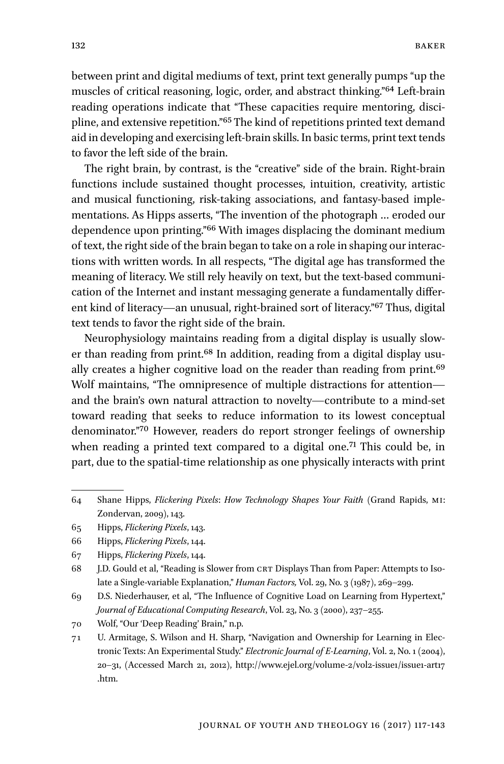between print and digital mediums of text, print text generally pumps "up the muscles of critical reasoning, logic, order, and abstract thinking."[64](#page-15-0) Left-brain reading operations indicate that "These capacities require mentoring, discipline, and extensive repetition.["65](#page-15-1) The kind of repetitions printed text demand aid in developing and exercising left-brain skills. In basic terms, print text tends to favor the left side of the brain.

The right brain, by contrast, is the "creative" side of the brain. Right-brain functions include sustained thought processes, intuition, creativity, artistic and musical functioning, risk-taking associations, and fantasy-based implementations. As Hipps asserts, "The invention of the photograph … eroded our dependence upon printing.["66](#page-15-2) With images displacing the dominant medium of text, the right side of the brain began to take on a role in shaping our interactions with written words. In all respects, "The digital age has transformed the meaning of literacy. We still rely heavily on text, but the text-based communication of the Internet and instant messaging generate a fundamentally different kind of literacy—an unusual, right-brained sort of literacy."[67](#page-15-3) Thus, digital text tends to favor the right side of the brain.

Neurophysiology maintains reading from a digital display is usually slower than reading from print.<sup>68</sup> In addition, reading from a digital display usually creates a higher cognitive load on the reader than reading from print.<sup>69</sup> Wolf maintains, "The omnipresence of multiple distractions for attention and the brain's own natural attraction to novelty—contribute to a mind-set toward reading that seeks to reduce information to its lowest conceptual denominator."[70](#page-15-6) However, readers do report stronger feelings of ownership when reading a printed text compared to a digital one.<sup>71</sup> This could be, in part, due to the spatial-time relationship as one physically interacts with print

<span id="page-15-0"></span><sup>64</sup> Shane Hipps, *Flickering Pixels*: *How Technology Shapes Your Faith* (Grand Rapids, mi: Zondervan, 2009), 143.

<span id="page-15-1"></span><sup>65</sup> Hipps, *Flickering Pixels*, 143.

<span id="page-15-2"></span><sup>66</sup> Hipps, *Flickering Pixels*, 144.

<span id="page-15-3"></span><sup>67</sup> Hipps, *Flickering Pixels*, 144.

<span id="page-15-4"></span><sup>68</sup> J.D. Gould et al, "Reading is Slower from crt Displays Than from Paper: Attempts to Isolate a Single-variable Explanation," *Human Factors,* Vol. 29, No. 3 (1987), 269–299.

<span id="page-15-5"></span><sup>69</sup> D.S. Niederhauser, et al, "The Influence of Cognitive Load on Learning from Hypertext," *Journal of Educational Computing Research*, Vol. 23, No. 3 (2000), 237–255.

<span id="page-15-6"></span><sup>70</sup> Wolf, "Our 'Deep Reading' Brain," n.p.

<span id="page-15-7"></span><sup>71</sup> U. Armitage, S. Wilson and H. Sharp, "Navigation and Ownership for Learning in Electronic Texts: An Experimental Study." *Electronic Journal of E-Learning*, Vol. 2, No. 1 (2004), 20–31, (Accessed March 21, 2012), [http://www.ejel.org/volume-2/vol2-issue1/issue1-art17](http://www.ejel.org/volume-2/vol2-issue1/issue1-art17.htm) [.htm](http://www.ejel.org/volume-2/vol2-issue1/issue1-art17.htm).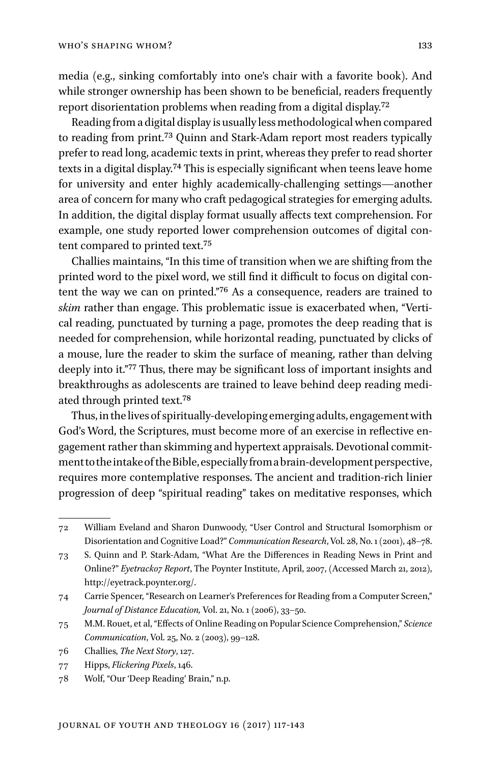media (e.g., sinking comfortably into one's chair with a favorite book). And while stronger ownership has been shown to be beneficial, readers frequently report disorientation problems when reading from a digital display.<sup>72</sup>

Reading from a digital display is usually less methodological when compared to reading from print[.73](#page-16-1) Quinn and Stark-Adam report most readers typically prefer to read long, academic texts in print, whereas they prefer to read shorter texts in a digital display.[74](#page-16-2) This is especially significant when teens leave home for university and enter highly academically-challenging settings—another area of concern for many who craft pedagogical strategies for emerging adults. In addition, the digital display format usually affects text comprehension. For example, one study reported lower comprehension outcomes of digital content compared to printed text[.75](#page-16-3)

Challies maintains, "In this time of transition when we are shifting from the printed word to the pixel word, we still find it difficult to focus on digital content the way we can on printed.["76](#page-16-4) As a consequence, readers are trained to *skim* rather than engage. This problematic issue is exacerbated when, "Vertical reading, punctuated by turning a page, promotes the deep reading that is needed for comprehension, while horizontal reading, punctuated by clicks of a mouse, lure the reader to skim the surface of meaning, rather than delving deeply into it."[77](#page-16-5) Thus, there may be significant loss of important insights and breakthroughs as adolescents are trained to leave behind deep reading mediated through printed text[.78](#page-16-6)

Thus, in the lives of spiritually-developing emerging adults, engagement with God's Word, the Scriptures, must become more of an exercise in reflective engagement rather than skimming and hypertext appraisals. Devotional commitment to the intake of the Bible, especially from a brain-development perspective, requires more contemplative responses. The ancient and tradition-rich linier progression of deep "spiritual reading" takes on meditative responses, which

<span id="page-16-0"></span><sup>72</sup> William Eveland and Sharon Dunwoody, "User Control and Structural Isomorphism or Disorientation and Cognitive Load?" *Communication Research*, Vol. 28, No. 1 (2001), 48–78.

<span id="page-16-1"></span><sup>73</sup> S. Quinn and P. Stark-Adam, "What Are the Differences in Reading News in Print and Online?" *Eyetrack07 Report*, The Poynter Institute, April, 2007, (Accessed March 21, 2012), <http://eyetrack.poynter.org/>.

<span id="page-16-2"></span><sup>74</sup> Carrie Spencer, "Research on Learner's Preferences for Reading from a Computer Screen," *Journal of Distance Education,* Vol. 21, No. 1 (2006), 33–50.

<span id="page-16-3"></span><sup>75</sup> M.M. Rouet, et al, "Effects of Online Reading on Popular Science Comprehension," *Science Communication*, Vol. 25, No. 2 (2003), 99–128.

<span id="page-16-4"></span><sup>76</sup> Challies, *The Next Story*, 127.

<span id="page-16-5"></span><sup>77</sup> Hipps, *Flickering Pixels*, 146.

<span id="page-16-6"></span><sup>78</sup> Wolf, "Our 'Deep Reading' Brain," n.p.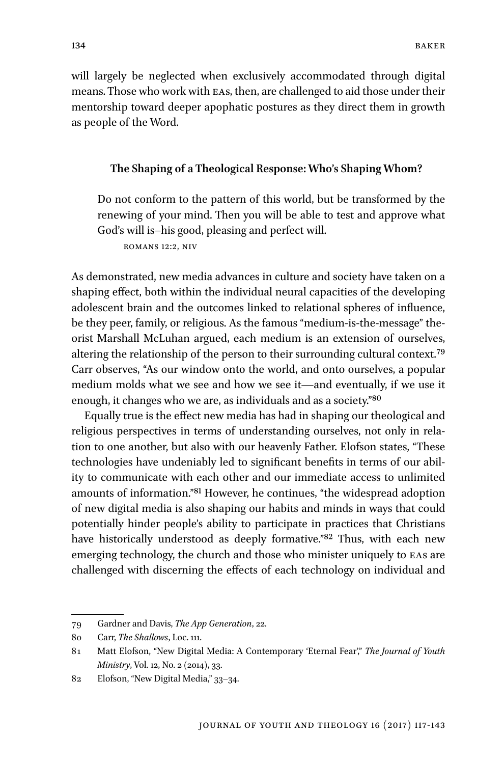will largely be neglected when exclusively accommodated through digital means. Those who work with eas, then, are challenged to aid those under their mentorship toward deeper apophatic postures as they direct them in growth as people of the Word.

## **The Shaping of a Theological Response: Who's Shaping Whom?**

Do not conform to the pattern of this world, but be transformed by the renewing of your mind. Then you will be able to test and approve what God's will is–his good, pleasing and perfect will.

Romans 12:2, niv

As demonstrated, new media advances in culture and society have taken on a shaping effect, both within the individual neural capacities of the developing adolescent brain and the outcomes linked to relational spheres of influence, be they peer, family, or religious. As the famous "medium-is-the-message" theorist Marshall McLuhan argued, each medium is an extension of ourselves, altering the relationship of the person to their surrounding cultural context.<sup>[79](#page-17-0)</sup> Carr observes, "As our window onto the world, and onto ourselves, a popular medium molds what we see and how we see it—and eventually, if we use it enough, it changes who we are, as individuals and as a society."[80](#page-17-1)

Equally true is the effect new media has had in shaping our theological and religious perspectives in terms of understanding ourselves, not only in relation to one another, but also with our heavenly Father. Elofson states, "These technologies have undeniably led to significant benefits in terms of our ability to communicate with each other and our immediate access to unlimited amounts of information.["81](#page-17-2) However, he continues, "the widespread adoption of new digital media is also shaping our habits and minds in ways that could potentially hinder people's ability to participate in practices that Christians have historically understood as deeply formative."<sup>[82](#page-17-3)</sup> Thus, with each new emerging technology, the church and those who minister uniquely to eas are challenged with discerning the effects of each technology on individual and

<span id="page-17-0"></span><sup>79</sup> Gardner and Davis, *The App Generation*, 22.

<span id="page-17-1"></span><sup>80</sup> Carr, *The Shallows*, Loc. 111.

<span id="page-17-2"></span><sup>81</sup> Matt Elofson, "New Digital Media: A Contemporary 'Eternal Fear'," *The Journal of Youth Ministry*, Vol. 12, No. 2 (2014), 33.

<span id="page-17-3"></span><sup>82</sup> Elofson, "New Digital Media," 33–34.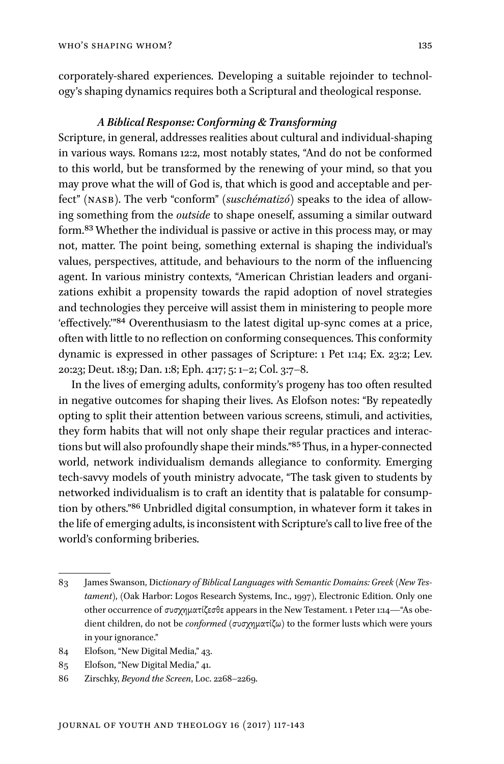corporately-shared experiences. Developing a suitable rejoinder to technology's shaping dynamics requires both a Scriptural and theological response.

#### *A Biblical Response: Conforming & Transforming*

Scripture, in general, addresses realities about cultural and individual-shaping in various ways. Romans 12:2, most notably states, "And do not be conformed to this world, but be transformed by the renewing of your mind, so that you may prove what the will of God is, that which is good and acceptable and perfect" (NASB). The verb "conform" (*suschématizó*) speaks to the idea of allowing something from the *outside* to shape oneself, assuming a similar outward form.[83](#page-18-0) Whether the individual is passive or active in this process may, or may not, matter. The point being, something external is shaping the individual's values, perspectives, attitude, and behaviours to the norm of the influencing agent. In various ministry contexts, "American Christian leaders and organizations exhibit a propensity towards the rapid adoption of novel strategies and technologies they perceive will assist them in ministering to people more 'effectively.'"[84](#page-18-1) Overenthusiasm to the latest digital up-sync comes at a price, often with little to no reflection on conforming consequences. This conformity dynamic is expressed in other passages of Scripture: 1 Pet 1:14; Ex. 23:2; Lev. 20:23; Deut. 18:9; Dan. 1:8; Eph. 4:17; 5: 1–2; Col. 3:7–8.

In the lives of emerging adults, conformity's progeny has too often resulted in negative outcomes for shaping their lives. As Elofson notes: "By repeatedly opting to split their attention between various screens, stimuli, and activities, they form habits that will not only shape their regular practices and interactions but will also profoundly shape their minds."[85](#page-18-2) Thus, in a hyper-connected world, network individualism demands allegiance to conformity. Emerging tech-savvy models of youth ministry advocate, "The task given to students by networked individualism is to craft an identity that is palatable for consumption by others."[86](#page-18-3) Unbridled digital consumption, in whatever form it takes in the life of emerging adults, is inconsistent with Scripture's call to live free of the world's conforming briberies.

<span id="page-18-0"></span><sup>83</sup> James Swanson, Dic*tionary of Biblical Languages with Semantic Domains: Greek (New Testament)*, (Oak Harbor: Logos Research Systems, Inc., 1997), Electronic Edition. Only one other occurrence of συσχηματίζεσθε appears in the New Testament. 1 Peter 1:14—"As obedient children, do not be *conformed* (συσχηματίζω) to the former lusts which were yours in your ignorance."

<span id="page-18-1"></span><sup>84</sup> Elofson, "New Digital Media," 43.

<span id="page-18-2"></span><sup>85</sup> Elofson, "New Digital Media," 41.

<span id="page-18-3"></span><sup>86</sup> Zirschky, *Beyond the Screen*, Loc. 2268–2269.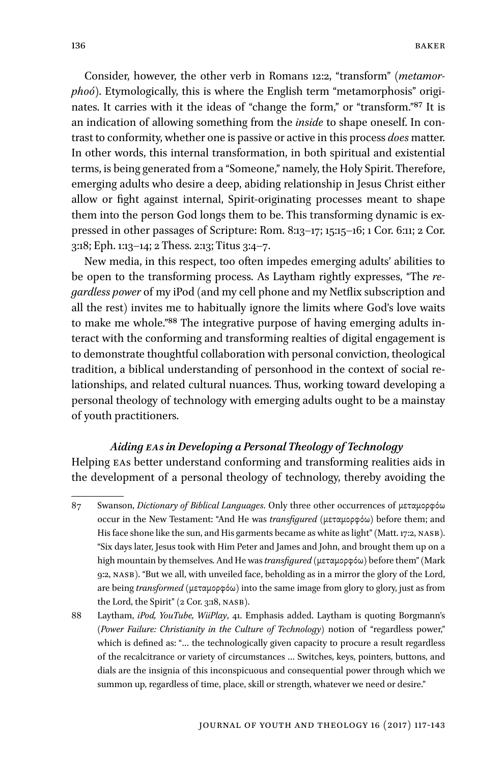Consider, however, the other verb in Romans 12:2, "transform" (*metamorphoó*). Etymologically, this is where the English term "metamorphosis" originates. It carries with it the ideas of "change the form," or "transform.["87](#page-19-0) It is an indication of allowing something from the *inside* to shape oneself. In contrast to conformity, whether one is passive or active in this process *does* matter. In other words, this internal transformation, in both spiritual and existential terms, is being generated from a "Someone," namely, the Holy Spirit. Therefore, emerging adults who desire a deep, abiding relationship in Jesus Christ either allow or fight against internal, Spirit-originating processes meant to shape them into the person God longs them to be. This transforming dynamic is expressed in other passages of Scripture: Rom. 8:13–17; 15:15–16; 1 Cor. 6:11; 2 Cor. 3:18; Eph. 1:13–14; 2 Thess. 2:13; Titus 3:4–7.

New media, in this respect, too often impedes emerging adults' abilities to be open to the transforming process. As Laytham rightly expresses, "The *regardless power* of my iPod (and my cell phone and my Netflix subscription and all the rest) invites me to habitually ignore the limits where God's love waits to make me whole."[88](#page-19-1) The integrative purpose of having emerging adults interact with the conforming and transforming realties of digital engagement is to demonstrate thoughtful collaboration with personal conviction, theological tradition, a biblical understanding of personhood in the context of social relationships, and related cultural nuances. Thus, working toward developing a personal theology of technology with emerging adults ought to be a mainstay of youth practitioners.

## *Aiding eas in Developing a Personal Theology of Technology*

Helping eas better understand conforming and transforming realities aids in the development of a personal theology of technology, thereby avoiding the

<span id="page-19-0"></span><sup>87</sup> Swanson, *Dictionary of Biblical Languages*. Only three other occurrences of μεταμορφόω occur in the New Testament: "And He was *transfigured* (μεταμορφόω) before them; and His face shone like the sun, and His garments became as white as light" (Matt. 17:2, NASB). "Six days later, Jesus took with Him Peter and James and John, and brought them up on a high mountain by themselves. And He was *transfigured* (μεταμορφόω) before them" (Mark 9:2, NASB). "But we all, with unveiled face, beholding as in a mirror the glory of the Lord, are being *transformed* (μεταμορφόω) into the same image from glory to glory, just as from the Lord, the Spirit" (2 Cor. 3:18, NASB).

<span id="page-19-1"></span><sup>88</sup> Laytham, *iPod, YouTube, WiiPlay*, 41. Emphasis added. Laytham is quoting Borgmann's (*Power Failure: Christianity in the Culture of Technology*) notion of "regardless power," which is defined as: "… the technologically given capacity to procure a result regardless of the recalcitrance or variety of circumstances … Switches, keys, pointers, buttons, and dials are the insignia of this inconspicuous and consequential power through which we summon up, regardless of time, place, skill or strength, whatever we need or desire."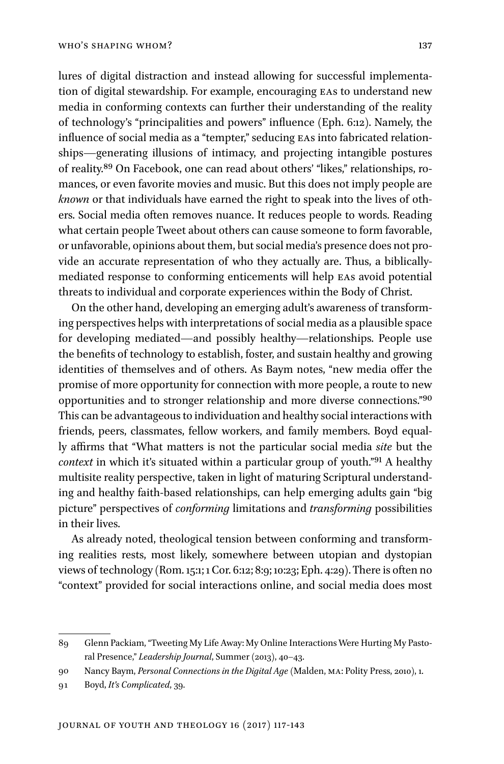lures of digital distraction and instead allowing for successful implementation of digital stewardship. For example, encouraging eas to understand new media in conforming contexts can further their understanding of the reality of technology's "principalities and powers" influence (Eph. 6:12). Namely, the influence of social media as a "tempter," seducing eas into fabricated relationships—generating illusions of intimacy, and projecting intangible postures of reality[.89](#page-20-0) On Facebook, one can read about others' "likes," relationships, romances, or even favorite movies and music. But this does not imply people are *known* or that individuals have earned the right to speak into the lives of others. Social media often removes nuance. It reduces people to words. Reading what certain people Tweet about others can cause someone to form favorable, or unfavorable, opinions about them, but social media's presence does not provide an accurate representation of who they actually are. Thus, a biblicallymediated response to conforming enticements will help eas avoid potential threats to individual and corporate experiences within the Body of Christ.

On the other hand, developing an emerging adult's awareness of transforming perspectives helps with interpretations of social media as a plausible space for developing mediated—and possibly healthy—relationships. People use the benefits of technology to establish, foster, and sustain healthy and growing identities of themselves and of others. As Baym notes, "new media offer the promise of more opportunity for connection with more people, a route to new opportunities and to stronger relationship and more diverse connections."[90](#page-20-1) This can be advantageous to individuation and healthy social interactions with friends, peers, classmates, fellow workers, and family members. Boyd equally affirms that "What matters is not the particular social media *site* but the *context* in which it's situated within a particular group of youth.["91](#page-20-2) A healthy multisite reality perspective, taken in light of maturing Scriptural understanding and healthy faith-based relationships, can help emerging adults gain "big picture" perspectives of *conforming* limitations and *transforming* possibilities in their lives.

As already noted, theological tension between conforming and transforming realities rests, most likely, somewhere between utopian and dystopian views of technology (Rom. 15:1; 1 Cor. 6:12; 8:9; 10:23; Eph. 4:29). There is often no "context" provided for social interactions online, and social media does most

<span id="page-20-0"></span><sup>89</sup> Glenn Packiam, "Tweeting My Life Away: My Online Interactions Were Hurting My Pastoral Presence," *Leadership Journal*, Summer (2013), 40–43.

<span id="page-20-1"></span><sup>90</sup> Nancy Baym, *Personal Connections in the Digital Age* (Malden, ma: Polity Press, 2010), 1.

<span id="page-20-2"></span><sup>91</sup> Boyd, *It's Complicated*, 39.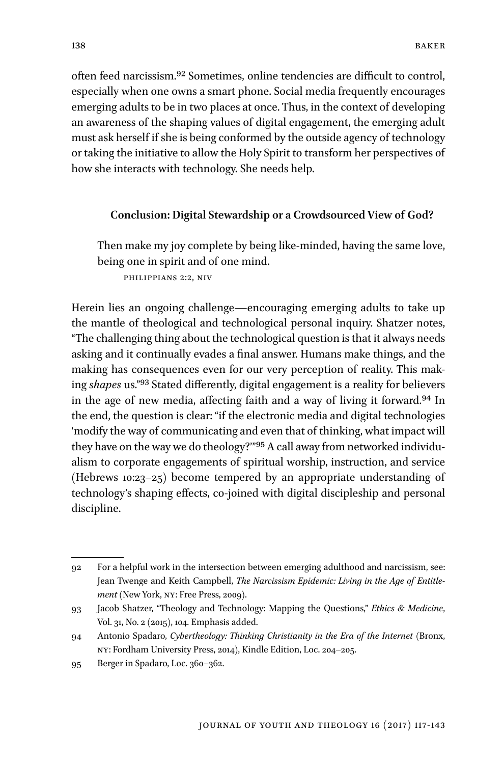often feed narcissism[.92](#page-21-0) Sometimes, online tendencies are difficult to control, especially when one owns a smart phone. Social media frequently encourages emerging adults to be in two places at once. Thus, in the context of developing an awareness of the shaping values of digital engagement, the emerging adult must ask herself if she is being conformed by the outside agency of technology or taking the initiative to allow the Holy Spirit to transform her perspectives of how she interacts with technology. She needs help.

### **Conclusion: Digital Stewardship or a Crowdsourced View of God?**

Then make my joy complete by being like-minded, having the same love, being one in spirit and of one mind.

Philippians 2:2, niv

Herein lies an ongoing challenge—encouraging emerging adults to take up the mantle of theological and technological personal inquiry. Shatzer notes, "The challenging thing about the technological question is that it always needs asking and it continually evades a final answer. Humans make things, and the making has consequences even for our very perception of reality. This making *shapes* us.["93](#page-21-1) Stated differently, digital engagement is a reality for believers in the age of new media, affecting faith and a way of living it forward.[94](#page-21-2) In the end, the question is clear: "if the electronic media and digital technologies 'modify the way of communicating and even that of thinking, what impact will they have on the way we do theology?'["95](#page-21-3) A call away from networked individualism to corporate engagements of spiritual worship, instruction, and service (Hebrews 10:23–25) become tempered by an appropriate understanding of technology's shaping effects, co-joined with digital discipleship and personal discipline.

<span id="page-21-0"></span><sup>92</sup> For a helpful work in the intersection between emerging adulthood and narcissism, see: Jean Twenge and Keith Campbell, *The Narcissism Epidemic: Living in the Age of Entitlement* (New York, ny: Free Press, 2009).

<span id="page-21-1"></span><sup>93</sup> Jacob Shatzer, "Theology and Technology: Mapping the Questions," *Ethics & Medicine*, Vol. 31, No. 2 (2015), 104. Emphasis added.

<span id="page-21-2"></span><sup>94</sup> Antonio Spadaro, *Cybertheology: Thinking Christianity in the Era of the Internet* (Bronx, ny: Fordham University Press, 2014), Kindle Edition, Loc. 204–205.

<span id="page-21-3"></span><sup>95</sup> Berger in Spadaro, Loc. 360–362.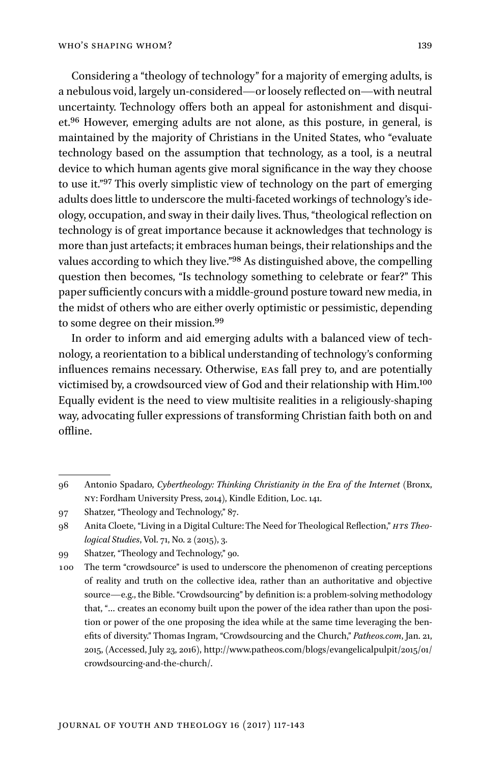Considering a "theology of technology" for a majority of emerging adults, is a nebulous void, largely un-considered—or loosely reflected on—with neutral uncertainty. Technology offers both an appeal for astonishment and disquiet[.96](#page-22-0) However, emerging adults are not alone, as this posture, in general, is maintained by the majority of Christians in the United States, who "evaluate technology based on the assumption that technology, as a tool, is a neutral device to which human agents give moral significance in the way they choose to use it.["97](#page-22-1) This overly simplistic view of technology on the part of emerging adults does little to underscore the multi-faceted workings of technology's ideology, occupation, and sway in their daily lives. Thus, "theological reflection on technology is of great importance because it acknowledges that technology is more than just artefacts; it embraces human beings, their relationships and the values according to which they live."<sup>98</sup> As distinguished above, the compelling question then becomes, "Is technology something to celebrate or fear?" This paper sufficiently concurs with a middle-ground posture toward new media, in the midst of others who are either overly optimistic or pessimistic, depending to some degree on their mission[.99](#page-22-3)

In order to inform and aid emerging adults with a balanced view of technology, a reorientation to a biblical understanding of technology's conforming influences remains necessary. Otherwise, eas fall prey to, and are potentially victimised by, a crowdsourced view of God and their relationship with Him.[100](#page-22-4) Equally evident is the need to view multisite realities in a religiously-shaping way, advocating fuller expressions of transforming Christian faith both on and offline.

<span id="page-22-0"></span><sup>96</sup> Antonio Spadaro, *Cybertheology: Thinking Christianity in the Era of the Internet* (Bronx, ny: Fordham University Press, 2014), Kindle Edition, Loc. 141.

<span id="page-22-1"></span><sup>97</sup> Shatzer, "Theology and Technology," 87.

<span id="page-22-2"></span><sup>98</sup> Anita Cloete, "Living in a Digital Culture: The Need for Theological Reflection," *hts Theological Studies*, Vol. 71, No. 2 (2015), 3.

<span id="page-22-3"></span><sup>99</sup> Shatzer, "Theology and Technology," 90.

<span id="page-22-4"></span><sup>100</sup> The term "crowdsource" is used to underscore the phenomenon of creating perceptions of reality and truth on the collective idea, rather than an authoritative and objective source—e.g., the Bible. "Crowdsourcing" by definition is: a problem-solving methodology that, "… creates an economy built upon the power of the idea rather than upon the position or power of the one proposing the idea while at the same time leveraging the benefits of diversity." Thomas Ingram, "Crowdsourcing and the Church," *Patheos.com*, Jan. 21, 2015, (Accessed, July 23, 2016), [http://www.patheos.com/blogs/evangelicalpulpit/2015/01/](http://www.patheos.com/blogs/evangelicalpulpit/2015/01/crowdsourcing-and-the-church/) [crowdsourcing-and-the-church/.](http://www.patheos.com/blogs/evangelicalpulpit/2015/01/crowdsourcing-and-the-church/)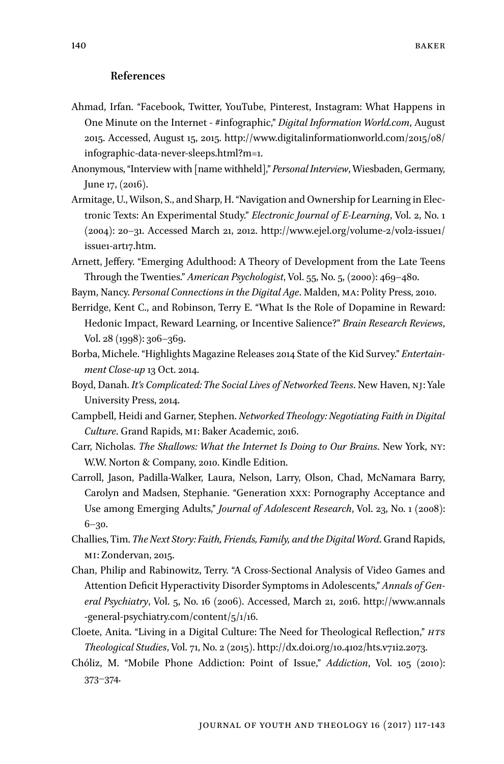#### **References**

- Ahmad, Irfan. "Facebook, Twitter, YouTube, Pinterest, Instagram: What Happens in One Minute on the Internet - #infographic," *Digital Information World.com*, August 2015. Accessed, August 15, 2015. [http://www.digitalinformationworld.com/2015/08/](http://www.digitalinformationworld. com/2015/ 08/infographic-data-never-sleeps.html?m=1) [infographic-data-never-sleeps.html?m=1](http://www.digitalinformationworld. com/2015/ 08/infographic-data-never-sleeps.html?m=1).
- Anonymous, "Interview with [name withheld]," *Personal Interview*, Wiesbaden, Germany, June 17, (2016).
- Armitage, U., Wilson, S., and Sharp, H. "Navigation and Ownership for Learning in Electronic Texts: An Experimental Study." *Electronic Journal of E-Learning*, Vol. 2, No. 1 (2004): 20–31. Accessed March 21, 2012. [http://www.ejel.org/volume-2/vol2-issue1/](http://www.ejel.org/volume-2/vol2-issue1/issue1-art17.htm) [issue1-art17.htm](http://www.ejel.org/volume-2/vol2-issue1/issue1-art17.htm).
- Arnett, Jeffery. "Emerging Adulthood: A Theory of Development from the Late Teens Through the Twenties." *American Psychologist*, Vol. 55, No. 5, (2000): 469–480.
- Baym, Nancy. *Personal Connections in the Digital Age*. Malden, ma: Polity Press, 2010.
- Berridge, Kent C., and Robinson, Terry E. "What Is the Role of Dopamine in Reward: Hedonic Impact, Reward Learning, or Incentive Salience?" *Brain Research Reviews*, Vol. 28 (1998): 306–369.
- Borba, Michele. "Highlights Magazine Releases 2014 State of the Kid Survey." *Entertainment Close-up* 13 Oct. 2014.
- Boyd, Danah. *It's Complicated: The Social Lives of Networked Teens*. New Haven, nj: Yale University Press, 2014.
- Campbell, Heidi and Garner, Stephen. *Networked Theology: Negotiating Faith in Digital Culture*. Grand Rapids, mi: Baker Academic, 2016.
- Carr, Nicholas. *The Shallows: What the Internet Is Doing to Our Brains*. New York, ny: W.W. Norton & Company, 2010. Kindle Edition.
- Carroll, Jason, Padilla-Walker, Laura, Nelson, Larry, Olson, Chad, McNamara Barry, Carolyn and Madsen, Stephanie. "Generation xxx: Pornography Acceptance and Use among Emerging Adults," *Journal of Adolescent Research*, Vol. 23, No. 1 (2008): 6–30.
- Challies, Tim. *The Next Story: Faith, Friends, Family, and the Digital Word*. Grand Rapids, mi: Zondervan, 2015.
- Chan, Philip and Rabinowitz, Terry. "A Cross-Sectional Analysis of Video Games and Attention Deficit Hyperactivity Disorder Symptoms in Adolescents," *Annals of General Psychiatry*, Vol. 5, No. 16 (2006). Accessed, March 21, 2016. [http://www.annals](http://www. annals-general-psychiatry.com/content/5/1/16) [-general-psychiatry.com/content/5/1/16](http://www. annals-general-psychiatry.com/content/5/1/16).
- Cloete, Anita. "Living in a Digital Culture: The Need for Theological Reflection," *hts Theological Studies*, Vol. 71, No. 2 (2015).<http://dx.doi.org/10.4102/hts.v71i2.2073>.
- Chóliz, M. "Mobile Phone Addiction: Point of Issue," *Addiction*, Vol. 105 (2010): 373–374.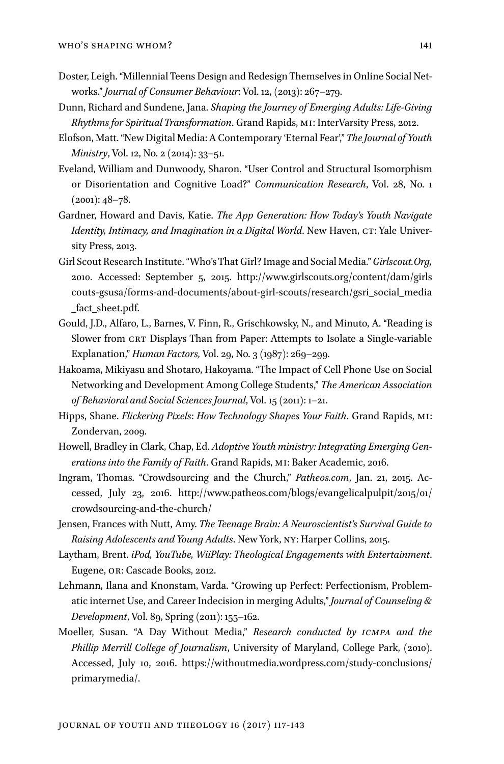- Doster, Leigh. "Millennial Teens Design and Redesign Themselves in Online Social Networks." *Journal of Consumer Behaviour*: Vol. 12, (2013): 267–279.
- Dunn, Richard and Sundene, Jana. *Shaping the Journey of Emerging Adults: Life-Giving Rhythms for Spiritual Transformation*. Grand Rapids, mi: InterVarsity Press, 2012.
- Elofson, Matt. "New Digital Media: A Contemporary 'Eternal Fear'," *The Journal of Youth Ministry*, Vol. 12, No. 2 (2014): 33–51.
- Eveland, William and Dunwoody, Sharon. "User Control and Structural Isomorphism or Disorientation and Cognitive Load?" *Communication Research*, Vol. 28, No. 1  $(2001): 48 - 78.$
- Gardner, Howard and Davis, Katie. *The App Generation: How Today's Youth Navigate Identity, Intimacy, and Imagination in a Digital World*. New Haven, CT: Yale University Press, 2013.
- Girl Scout Research Institute. "Who's That Girl? Image and Social Media." *Girlscout.Org,* 2010. Accessed: September 5, 2015. [http://www.girlscouts.org/content/dam/girls](http://www.girlscouts.org/ content /dam/ girlscouts-gsusa /forms-and-documents/about-girl-scouts/ research/gsri_social _media_fact_sheet.pdf) [couts-gsusa/forms-and-documents/about-girl-scouts/research/gsri\\_social\\_media](http://www.girlscouts.org/ content /dam/ girlscouts-gsusa /forms-and-documents/about-girl-scouts/ research/gsri_social _media_fact_sheet.pdf) fact sheet.pdf.
- Gould, J.D., Alfaro, L., Barnes, V. Finn, R., Grischkowsky, N., and Minuto, A. "Reading is Slower from CRT Displays Than from Paper: Attempts to Isolate a Single-variable Explanation," *Human Factors,* Vol. 29, No. 3 (1987): 269–299.
- Hakoama, Mikiyasu and Shotaro, Hakoyama. "The Impact of Cell Phone Use on Social Networking and Development Among College Students," *The American Association of Behavioral and Social Sciences Journal*, Vol. 15 (2011): 1–21.
- Hipps, Shane. *Flickering Pixels*: *How Technology Shapes Your Faith*. Grand Rapids, mi: Zondervan, 2009.
- Howell, Bradley in Clark, Chap, Ed. *Adoptive Youth ministry: Integrating Emerging Generations into the Family of Faith*. Grand Rapids, mi: Baker Academic, 2016.
- Ingram, Thomas. "Crowdsourcing and the Church," *Patheos.com*, Jan. 21, 2015. Accessed, July 23, 2016. [http://www.patheos.com/blogs/evangelicalpulpit/2015/01/](http://www.patheos.com/blogs/evangelicalpulpit/ 2015/01/crowdsourcing-and-the-church/) [crowdsourcing-and-the-church/](http://www.patheos.com/blogs/evangelicalpulpit/ 2015/01/crowdsourcing-and-the-church/)
- Jensen, Frances with Nutt, Amy. *The Teenage Brain: A Neuroscientist's Survival Guide to Raising Adolescents and Young Adults*. New York, ny: Harper Collins, 2015.
- Laytham, Brent. *iPod, YouTube, WiiPlay: Theological Engagements with Entertainment*. Eugene, or: Cascade Books, 2012.
- Lehmann, Ilana and Knonstam, Varda. "Growing up Perfect: Perfectionism, Problematic internet Use, and Career Indecision in merging Adults," *Journal of Counseling & Development*, Vol. 89, Spring (2011): 155–162.
- Moeller, Susan. "A Day Without Media," *Research conducted by icmpa and the Phillip Merrill College of Journalism*, University of Maryland, College Park, (2010). Accessed, July 10, 2016. [https://withoutmedia.wordpress.com/study-conclusions/](https://withoutmedia.wordpress.com/study-conclusions /primarymedia/) [primarymedia/](https://withoutmedia.wordpress.com/study-conclusions /primarymedia/).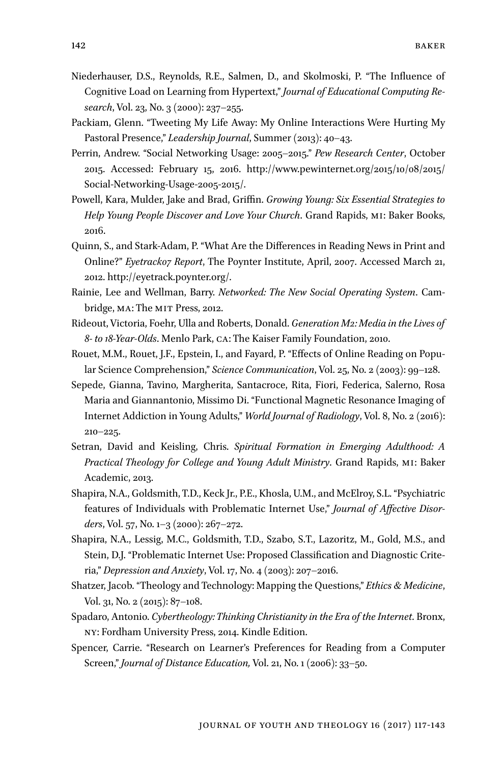- Niederhauser, D.S., Reynolds, R.E., Salmen, D., and Skolmoski, P. "The Influence of Cognitive Load on Learning from Hypertext," *Journal of Educational Computing Research*, Vol. 23, No. 3 (2000): 237–255.
- Packiam, Glenn. "Tweeting My Life Away: My Online Interactions Were Hurting My Pastoral Presence," *Leadership Journal*, Summer (2013): 40–43.
- Perrin, Andrew. "Social Networking Usage: 2005–2015." *Pew Research Center*, October 2015. Accessed: February 15, 2016. [http://www.pewinternet.org/2015/10/08/2015/](http://www.pewinternet.org/2015/10/08/ 2015/Social-Networking-Usage-2005-2015/) [Social-Networking-Usage-2005-2015/.](http://www.pewinternet.org/2015/10/08/ 2015/Social-Networking-Usage-2005-2015/)
- Powell, Kara, Mulder, Jake and Brad, Griffin. *Growing Young: Six Essential Strategies to Help Young People Discover and Love Your Church*. Grand Rapids, mi: Baker Books, 2016.
- Quinn, S., and Stark-Adam, P. "What Are the Differences in Reading News in Print and Online?" *Eyetrack07 Report*, The Poynter Institute, April, 2007. Accessed March 21, 2012. [http://eyetrack.poynter.org/.](http://eyetrack. poynter.org/)
- Rainie, Lee and Wellman, Barry. *Networked: The New Social Operating System*. Cambridge, ma: The mit Press, 2012.
- Rideout, Victoria, Foehr, Ulla and Roberts, Donald. *Generation M2: Media in the Lives of 8- to 18-Year-Olds*. Menlo Park, ca: The Kaiser Family Foundation, 2010.
- Rouet, M.M., Rouet, J.F., Epstein, I., and Fayard, P. "Effects of Online Reading on Popular Science Comprehension," *Science Communication*, Vol. 25, No. 2 (2003): 99–128.
- Sepede, Gianna, Tavino, Margherita, Santacroce, Rita, Fiori, Federica, Salerno, Rosa Maria and Giannantonio, Missimo Di. "Functional Magnetic Resonance Imaging of Internet Addiction in Young Adults," *World Journal of Radiology*, Vol. 8, No. 2 (2016): 210–225.
- Setran, David and Keisling, Chris. *Spiritual Formation in Emerging Adulthood: A Practical Theology for College and Young Adult Ministry*. Grand Rapids, mi: Baker Academic, 2013.
- Shapira, N.A., Goldsmith, T.D., Keck Jr., P.E., Khosla, U.M., and McElroy, S.L. "Psychiatric features of Individuals with Problematic Internet Use," *Journal of Affective Disorders*, Vol. 57, No. 1–3 (2000): 267–272.
- Shapira, N.A., Lessig, M.C., Goldsmith, T.D., Szabo, S.T., Lazoritz, M., Gold, M.S., and Stein, D.J. "Problematic Internet Use: Proposed Classification and Diagnostic Criteria," *Depression and Anxiety*, Vol. 17, No. 4 (2003): 207–2016.
- Shatzer, Jacob. "Theology and Technology: Mapping the Questions," *Ethics & Medicine*, Vol. 31, No. 2 (2015): 87–108.
- Spadaro, Antonio. *Cybertheology: Thinking Christianity in the Era of the Internet*. Bronx, ny: Fordham University Press, 2014. Kindle Edition.
- Spencer, Carrie. "Research on Learner's Preferences for Reading from a Computer Screen," *Journal of Distance Education,* Vol. 21, No. 1 (2006): 33–50.